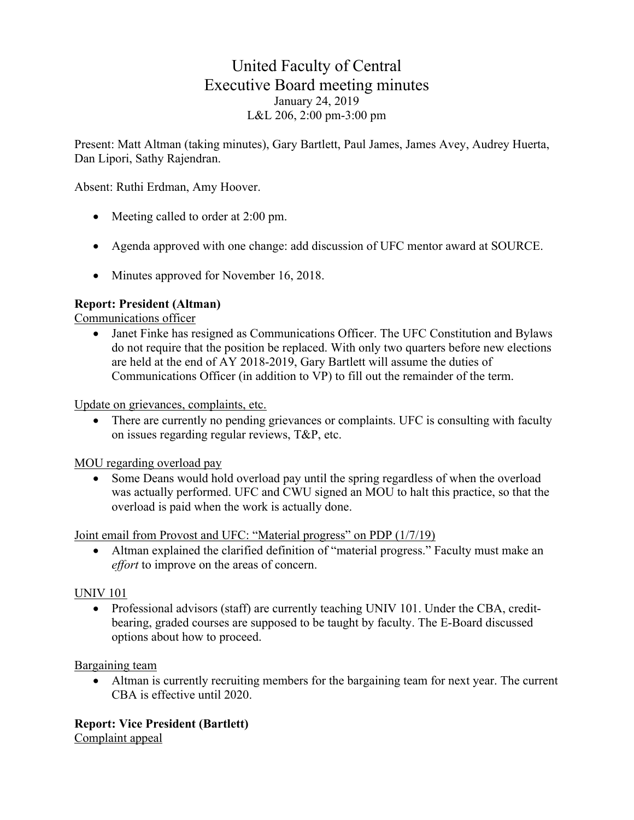# United Faculty of Central Executive Board meeting minutes January 24, 2019 L&L 206, 2:00 pm-3:00 pm

Present: Matt Altman (taking minutes), Gary Bartlett, Paul James, James Avey, Audrey Huerta, Dan Lipori, Sathy Rajendran.

Absent: Ruthi Erdman, Amy Hoover.

- Meeting called to order at 2:00 pm.
- Agenda approved with one change: add discussion of UFC mentor award at SOURCE.
- Minutes approved for November 16, 2018.

#### **Report: President (Altman)**

Communications officer

• Janet Finke has resigned as Communications Officer. The UFC Constitution and Bylaws do not require that the position be replaced. With only two quarters before new elections are held at the end of AY 2018-2019, Gary Bartlett will assume the duties of Communications Officer (in addition to VP) to fill out the remainder of the term.

Update on grievances, complaints, etc.

• There are currently no pending grievances or complaints. UFC is consulting with faculty on issues regarding regular reviews, T&P, etc.

MOU regarding overload pay

• Some Deans would hold overload pay until the spring regardless of when the overload was actually performed. UFC and CWU signed an MOU to halt this practice, so that the overload is paid when the work is actually done.

Joint email from Provost and UFC: "Material progress" on PDP (1/7/19)

• Altman explained the clarified definition of "material progress." Faculty must make an *effort* to improve on the areas of concern.

#### UNIV 101

• Professional advisors (staff) are currently teaching UNIV 101. Under the CBA, creditbearing, graded courses are supposed to be taught by faculty. The E-Board discussed options about how to proceed.

Bargaining team

• Altman is currently recruiting members for the bargaining team for next year. The current CBA is effective until 2020.

# **Report: Vice President (Bartlett)**

Complaint appeal